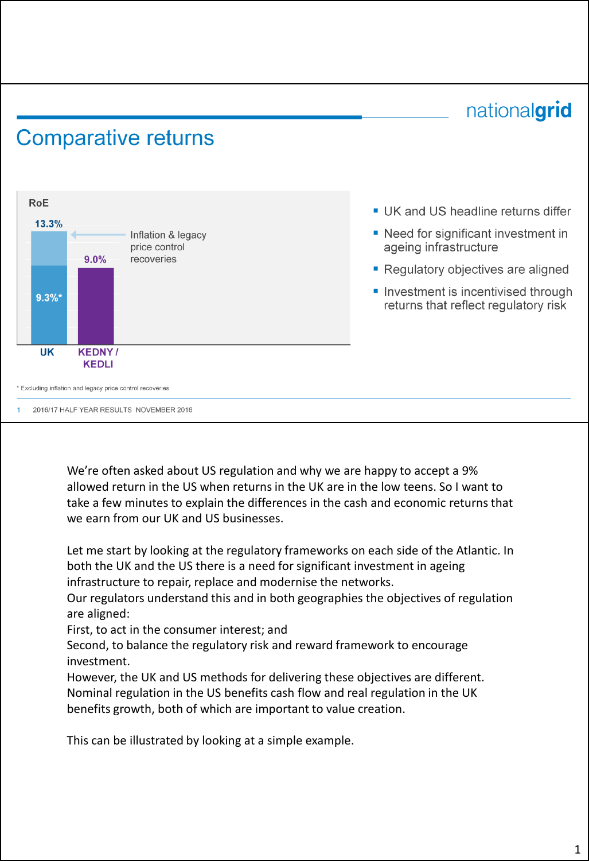# nationalgrid

### **Comparative returns**



- UK and US headline returns differ
- Need for significant investment in ageing infrastructure
- Regulatory objectives are aligned
- Investment is incentivised through returns that reflect regulatory risk

We're often asked about US regulation and why we are happy to accept a 9% allowed return in the US when returns in the UK are in the low teens. So I want to take a few minutes to explain the differences in the cash and economic returns that we earn from our UK and US businesses.

Let me start by looking at the regulatory frameworks on each side of the Atlantic. In both the UK and the US there is a need for significant investment in ageing infrastructure to repair, replace and modernise the networks.

Our regulators understand this and in both geographies the objectives of regulation are aligned:

First, to act in the consumer interest; and

Second, to balance the regulatory risk and reward framework to encourage investment.

However, the UK and US methods for delivering these objectives are different. Nominal regulation in the US benefits cash flow and real regulation in the UK benefits growth, both of which are important to value creation.

This can be illustrated by looking at a simple example.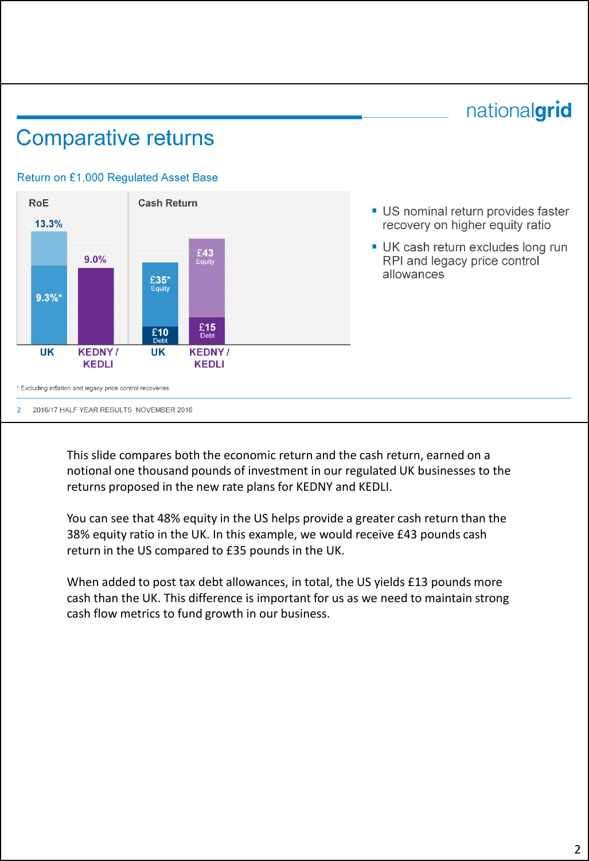## nationalgrid

### **Comparative returns**

#### Return on £1,000 Regulated Asset Base

2016/17 HALF YEAR RESULTS NOVEMBER 2016

 $\mathcal{D}$ 



### US nominal return provides faster recovery on higher equity ratio

UK cash return excludes long run RPI and legacy price control allowances

This slide compares both the economic return and the cash return, earned on a notional one thousand pounds of investment in our regulated UK businesses to the returns proposed in the new rate plans for KEDNY and KEDLI.

You can see that 48% equity in the US helps provide a greater cash return than the 38% equity ratio in the UK. In this example, we would receive £43 pounds cash return in the US compared to £35 pounds in the UK.

When added to post tax debt allowances, in total, the US yields £13 pounds more cash than the UK. This difference is important for us as we need to maintain strong cash flow metrics to fund growth in our business.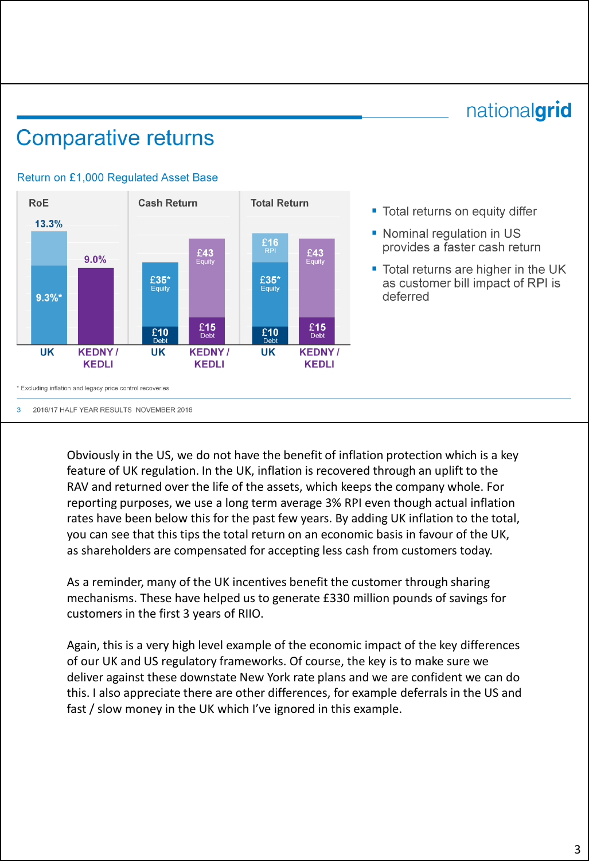## nationalgrid

## **Comparative returns**



#### Return on £1,000 Regulated Asset Base

" Total returns on equity differ

- Nominal regulation in US provides a faster cash return
- Total returns are higher in the UK as customer bill impact of RPI is deferred

2016/17 HALF YEAR RESULTS NOVEMBER 2016  $\mathbf{B}$ 

> Obviously in the US, we do not have the benefit of inflation protection which is a key feature of UK regulation. In the UK, inflation is recovered through an uplift to the RAV and returned over the life of the assets, which keeps the company whole. For reporting purposes, we use a long term average 3% RPI even though actual inflation rates have been below this for the past few years. By adding UK inflation to the total, you can see that this tips the total return on an economic basis in favour of the UK, as shareholders are compensated for accepting less cash from customers today.

As a reminder, many of the UK incentives benefit the customer through sharing mechanisms. These have helped us to generate £330 million pounds of savings for customers in the first 3 years of RIIO.

Again, this is a very high level example of the economic impact of the key differences of our UK and US regulatory frameworks. Of course, the key is to make sure we deliver against these downstate New York rate plans and we are confident we can do this. I also appreciate there are other differences, for example deferrals in the US and fast / slow money in the UK which I've ignored in this example.